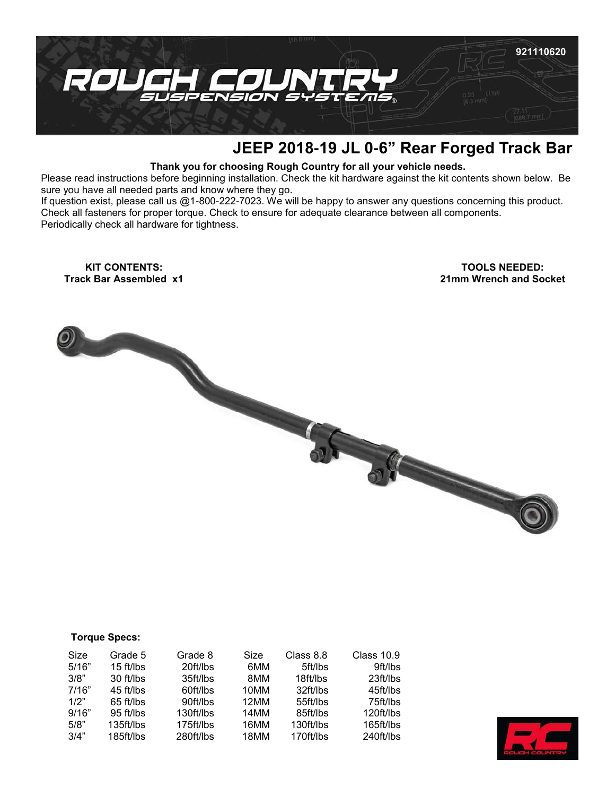

## **JEEP 2018-19 JL 0-6" Rear Forged Track Bar**

## **Thank you for choosing Rough Country for all your vehicle needs.**

Please read instructions before beginning installation. Check the kit hardware against the kit contents shown below. Be sure you have all needed parts and know where they go.

If question exist, please call us @1-800-222-7023. We will be happy to answer any questions concerning this product. Check all fasteners for proper torque. Check to ensure for adequate clearance between all components. Periodically check all hardware for tightness.

**KIT CONTENTS: Track Bar Assembled x1**

**TOOLS NEEDED: 21mm Wrench and Socket** 



| <b>Torque Specs:</b> |  |
|----------------------|--|
|----------------------|--|

| Size  | Grade 5   | Grade 8   | Size | Class 8.8 | <b>Class 10.9</b> |
|-------|-----------|-----------|------|-----------|-------------------|
| 5/16" | 15 ft/lbs | 20ft/lbs  | 6MM  | 5ft/lbs   | 9ft/lbs           |
| 3/8"  | 30 ft/lbs | 35ft/lbs  | 8MM  | 18ft/lbs  | 23 ft/lbs         |
| 7/16" | 45 ft/lbs | 60ft/lbs  | 10MM | 32ft/lbs  | 45ft/lbs          |
| 1/2"  | 65 ft/lbs | 90ft/lbs  | 12MM | 55ft/lbs  | 75ft/lbs          |
| 9/16" | 95 ft/lbs | 130ft/lbs | 14MM | 85ft/lbs  | 120ft/lbs         |
| 5/8"  | 135ft/lbs | 175ft/lbs | 16MM | 130ft/lbs | 165ft/lbs         |
| 3/4"  | 185ft/lbs | 280ft/lbs | 18MM | 170ft/lbs | 240ft/lbs         |